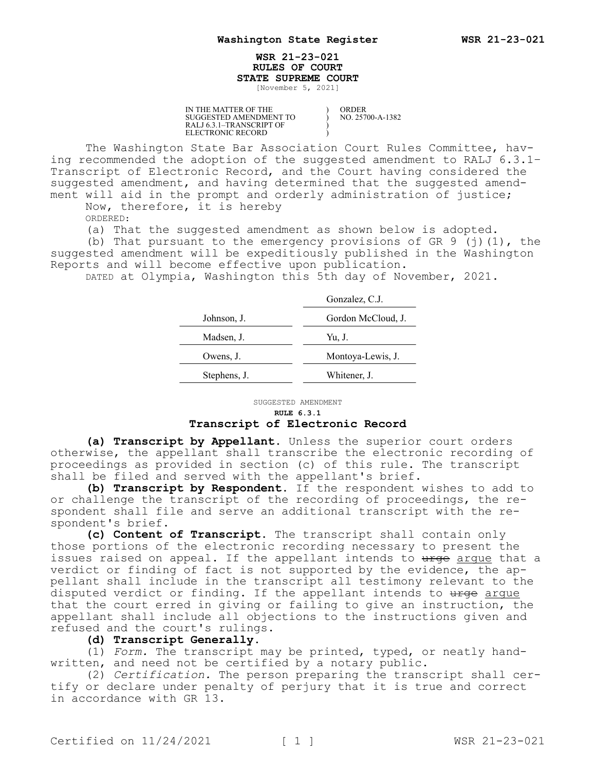## **WSR 21-23-021 RULES OF COURT STATE SUPREME COURT**

) ) ) )

[November 5, 2021]

IN THE MATTER OF THE SUGGESTED AMENDMENT TO RALJ 6.3.1–TRANSCRIPT OF ELECTRONIC RECORD

ORDER NO. 25700-A-1382

The Washington State Bar Association Court Rules Committee, having recommended the adoption of the suggested amendment to RALJ 6.3.1– Transcript of Electronic Record, and the Court having considered the suggested amendment, and having determined that the suggested amendment will aid in the prompt and orderly administration of justice; Now, therefore, it is hereby

ORDERED:

(a) That the suggested amendment as shown below is adopted.

(b) That pursuant to the emergency provisions of GR  $9$  (j)(1), the suggested amendment will be expeditiously published in the Washington Reports and will become effective upon publication.

DATED at Olympia, Washington this 5th day of November, 2021.

|              | Gonzalez, C.J.     |
|--------------|--------------------|
| Johnson, J.  | Gordon McCloud, J. |
| Madsen, J.   | Yu, J.             |
| Owens, J.    | Montoya-Lewis, J.  |
| Stephens, J. | Whitener, J.       |

## SUGGESTED AMENDMENT **RULE 6.3.1 Transcript of Electronic Record**

**(a) Transcript by Appellant.** Unless the superior court orders otherwise, the appellant shall transcribe the electronic recording of proceedings as provided in section (c) of this rule. The transcript shall be filed and served with the appellant's brief.

**(b) Transcript by Respondent.** If the respondent wishes to add to or challenge the transcript of the recording of proceedings, the respondent shall file and serve an additional transcript with the respondent's brief.

**(c) Content of Transcript.** The transcript shall contain only those portions of the electronic recording necessary to present the issues raised on appeal. If the appellant intends to urge arque that a verdict or finding of fact is not supported by the evidence, the appellant shall include in the transcript all testimony relevant to the disputed verdict or finding. If the appellant intends to urge argue that the court erred in giving or failing to give an instruction, the appellant shall include all objections to the instructions given and refused and the court's rulings.

## **(d) Transcript Generally.**

(1) *Form.* The transcript may be printed, typed, or neatly handwritten, and need not be certified by a notary public.

(2) *Certification.* The person preparing the transcript shall certify or declare under penalty of perjury that it is true and correct in accordance with GR 13.